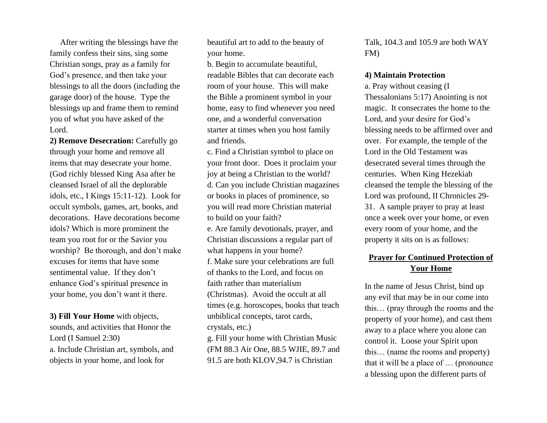After writing the blessings have the family confess their sins, sing some Christian songs, pray as a family for God's presence, and then take your blessings to all the doors (including the garage door) of the house. Type the blessings up and frame them to remind you of what you have asked of the Lord.

**2) Remove Desecration:** Carefully go through your home and remove all items that may desecrate your home. (God richly blessed King Asa after he cleansed Israel of all the deplorable idols, etc., I Kings 15:11-12). Look for occult symbols, games, art, books, and decorations. Have decorations become idols? Which is more prominent the team you root for or the Savior you worship? Be thorough, and don't make excuses for items that have some sentimental value. If they don't enhance God's spiritual presence in your home, you don't want it there.

**3) Fill Your Home** with objects, sounds, and activities that Honor the Lord (I Samuel 2:30) a. Include Christian art, symbols, and objects in your home, and look for

beautiful art to add to the beauty of your home.

b. Begin to accumulate beautiful, readable Bibles that can decorate each room of your house. This will make the Bible a prominent symbol in your home, easy to find whenever you need one, and a wonderful conversation starter at times when you host family and friends.

c. Find a Christian symbol to place on your front door. Does it proclaim your joy at being a Christian to the world? d. Can you include Christian magazines or books in places of prominence, so you will read more Christian material to build on your faith?

e. Are family devotionals, prayer, and Christian discussions a regular part of what happens in your home?

f. Make sure your celebrations are full of thanks to the Lord, and focus on faith rather than materialism

(Christmas). Avoid the occult at all times (e.g. horoscopes, books that teach unbiblical concepts, tarot cards, crystals, etc.)

g. Fill your home with Christian Music (FM 88.3 Air One, 88.5 WJIE, 89.7 and 91.5 are both KLOV,94.7 is Christian

Talk, 104.3 and 105.9 are both WAY FM)

## **4) Maintain Protection**

a. Pray without ceasing (I Thessalonians 5:17) Anointing is not magic. It consecrates the home to the Lord, and your desire for God's blessing needs to be affirmed over and over. For example, the temple of the Lord in the Old Testament was desecrated several times through the centuries. When King Hezekiah cleansed the temple the blessing of the Lord was profound, II Chronicles 29- 31. A sample prayer to pray at least once a week over your home, or even every room of your home, and the property it sits on is as follows:

## **Prayer for Continued Protection of Your Home**

In the name of Jesus Christ, bind up any evil that may be in our come into this… (pray through the rooms and the property of your home), and cast them away to a place where you alone can control it. Loose your Spirit upon this… (name the rooms and property) that it will be a place of … (pronounce a blessing upon the different parts of